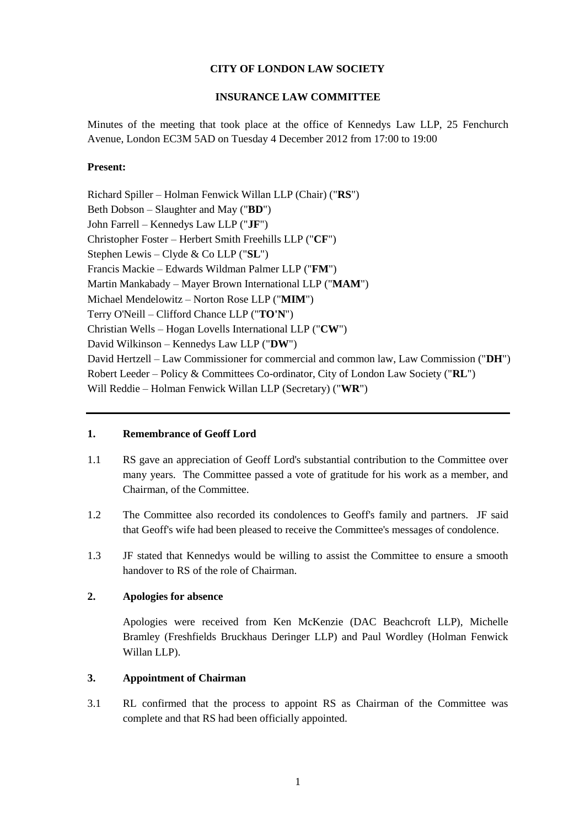### **CITY OF LONDON LAW SOCIETY**

### **INSURANCE LAW COMMITTEE**

Minutes of the meeting that took place at the office of Kennedys Law LLP, 25 Fenchurch Avenue, London EC3M 5AD on Tuesday 4 December 2012 from 17:00 to 19:00

### **Present:**

Richard Spiller – Holman Fenwick Willan LLP (Chair) ("**RS**") Beth Dobson – Slaughter and May ("**BD**") John Farrell – Kennedys Law LLP ("**JF**") Christopher Foster – Herbert Smith Freehills LLP ("**CF**") Stephen Lewis – Clyde & Co LLP ("**SL**") Francis Mackie – Edwards Wildman Palmer LLP ("**FM**") Martin Mankabady – Mayer Brown International LLP ("**MAM**") Michael Mendelowitz – Norton Rose LLP ("**MIM**") Terry O'Neill – Clifford Chance LLP ("**TO'N**") Christian Wells – Hogan Lovells International LLP ("**CW**") David Wilkinson – Kennedys Law LLP ("**DW**") David Hertzell – Law Commissioner for commercial and common law, Law Commission ("**DH**") Robert Leeder – Policy & Committees Co-ordinator, City of London Law Society ("**RL**") Will Reddie – Holman Fenwick Willan LLP (Secretary) ("**WR**")

#### **1. Remembrance of Geoff Lord**

- 1.1 RS gave an appreciation of Geoff Lord's substantial contribution to the Committee over many years. The Committee passed a vote of gratitude for his work as a member, and Chairman, of the Committee.
- 1.2 The Committee also recorded its condolences to Geoff's family and partners. JF said that Geoff's wife had been pleased to receive the Committee's messages of condolence.
- 1.3 JF stated that Kennedys would be willing to assist the Committee to ensure a smooth handover to RS of the role of Chairman.

#### **2. Apologies for absence**

Apologies were received from Ken McKenzie (DAC Beachcroft LLP), Michelle Bramley (Freshfields Bruckhaus Deringer LLP) and Paul Wordley (Holman Fenwick Willan LLP).

### **3. Appointment of Chairman**

3.1 RL confirmed that the process to appoint RS as Chairman of the Committee was complete and that RS had been officially appointed.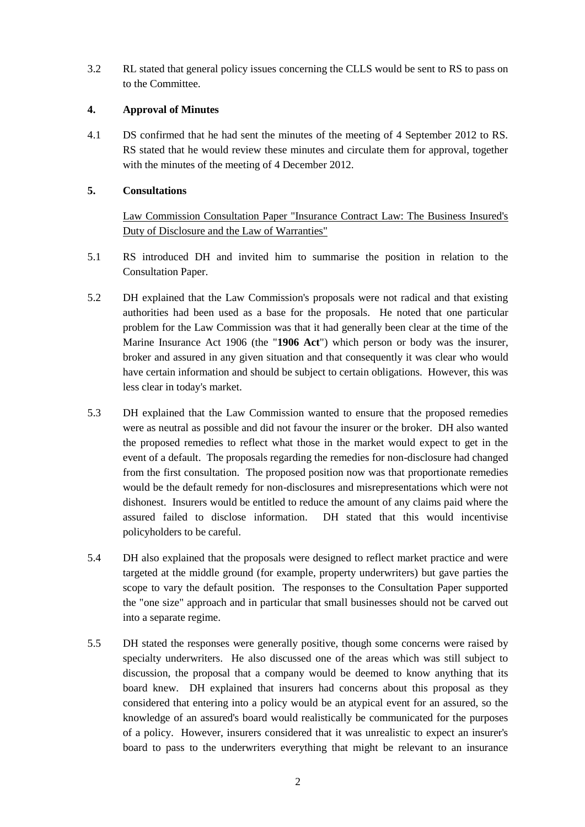3.2 RL stated that general policy issues concerning the CLLS would be sent to RS to pass on to the Committee.

### **4. Approval of Minutes**

4.1 DS confirmed that he had sent the minutes of the meeting of 4 September 2012 to RS. RS stated that he would review these minutes and circulate them for approval, together with the minutes of the meeting of 4 December 2012.

### **5. Consultations**

Law Commission Consultation Paper "Insurance Contract Law: The Business Insured's Duty of Disclosure and the Law of Warranties"

- 5.1 RS introduced DH and invited him to summarise the position in relation to the Consultation Paper.
- 5.2 DH explained that the Law Commission's proposals were not radical and that existing authorities had been used as a base for the proposals. He noted that one particular problem for the Law Commission was that it had generally been clear at the time of the Marine Insurance Act 1906 (the "**1906 Act**") which person or body was the insurer, broker and assured in any given situation and that consequently it was clear who would have certain information and should be subject to certain obligations. However, this was less clear in today's market.
- 5.3 DH explained that the Law Commission wanted to ensure that the proposed remedies were as neutral as possible and did not favour the insurer or the broker. DH also wanted the proposed remedies to reflect what those in the market would expect to get in the event of a default. The proposals regarding the remedies for non-disclosure had changed from the first consultation. The proposed position now was that proportionate remedies would be the default remedy for non-disclosures and misrepresentations which were not dishonest. Insurers would be entitled to reduce the amount of any claims paid where the assured failed to disclose information. DH stated that this would incentivise policyholders to be careful.
- 5.4 DH also explained that the proposals were designed to reflect market practice and were targeted at the middle ground (for example, property underwriters) but gave parties the scope to vary the default position. The responses to the Consultation Paper supported the "one size" approach and in particular that small businesses should not be carved out into a separate regime.
- 5.5 DH stated the responses were generally positive, though some concerns were raised by specialty underwriters. He also discussed one of the areas which was still subject to discussion, the proposal that a company would be deemed to know anything that its board knew. DH explained that insurers had concerns about this proposal as they considered that entering into a policy would be an atypical event for an assured, so the knowledge of an assured's board would realistically be communicated for the purposes of a policy. However, insurers considered that it was unrealistic to expect an insurer's board to pass to the underwriters everything that might be relevant to an insurance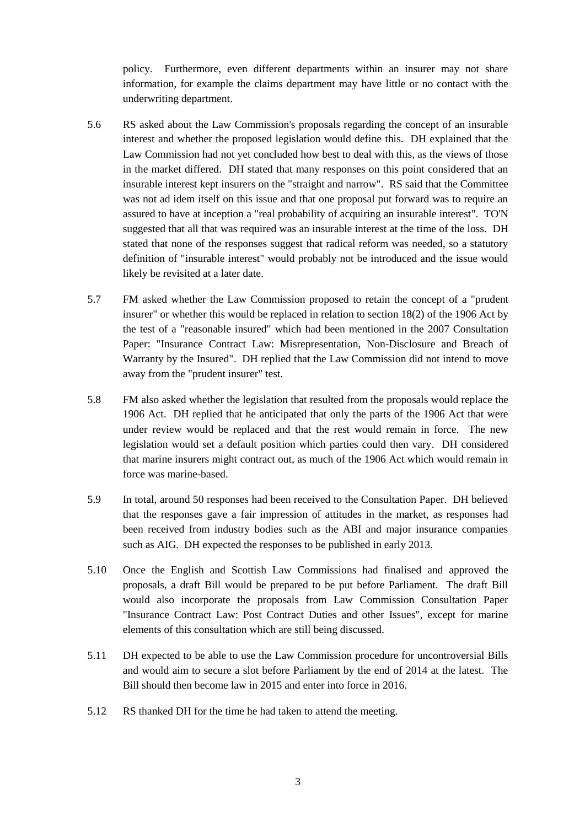policy. Furthermore, even different departments within an insurer may not share information, for example the claims department may have little or no contact with the underwriting department.

- 5.6 RS asked about the Law Commission's proposals regarding the concept of an insurable interest and whether the proposed legislation would define this. DH explained that the Law Commission had not yet concluded how best to deal with this, as the views of those in the market differed. DH stated that many responses on this point considered that an insurable interest kept insurers on the "straight and narrow". RS said that the Committee was not ad idem itself on this issue and that one proposal put forward was to require an assured to have at inception a "real probability of acquiring an insurable interest". TO'N suggested that all that was required was an insurable interest at the time of the loss. DH stated that none of the responses suggest that radical reform was needed, so a statutory definition of "insurable interest" would probably not be introduced and the issue would likely be revisited at a later date.
- 5.7 FM asked whether the Law Commission proposed to retain the concept of a "prudent insurer" or whether this would be replaced in relation to section 18(2) of the 1906 Act by the test of a "reasonable insured" which had been mentioned in the 2007 Consultation Paper: "Insurance Contract Law: Misrepresentation, Non-Disclosure and Breach of Warranty by the Insured". DH replied that the Law Commission did not intend to move away from the "prudent insurer" test.
- 5.8 FM also asked whether the legislation that resulted from the proposals would replace the 1906 Act. DH replied that he anticipated that only the parts of the 1906 Act that were under review would be replaced and that the rest would remain in force. The new legislation would set a default position which parties could then vary. DH considered that marine insurers might contract out, as much of the 1906 Act which would remain in force was marine-based.
- 5.9 In total, around 50 responses had been received to the Consultation Paper. DH believed that the responses gave a fair impression of attitudes in the market, as responses had been received from industry bodies such as the ABI and major insurance companies such as AIG. DH expected the responses to be published in early 2013.
- 5.10 Once the English and Scottish Law Commissions had finalised and approved the proposals, a draft Bill would be prepared to be put before Parliament. The draft Bill would also incorporate the proposals from Law Commission Consultation Paper "Insurance Contract Law: Post Contract Duties and other Issues", except for marine elements of this consultation which are still being discussed.
- 5.11 DH expected to be able to use the Law Commission procedure for uncontroversial Bills and would aim to secure a slot before Parliament by the end of 2014 at the latest. The Bill should then become law in 2015 and enter into force in 2016.
- 5.12 RS thanked DH for the time he had taken to attend the meeting.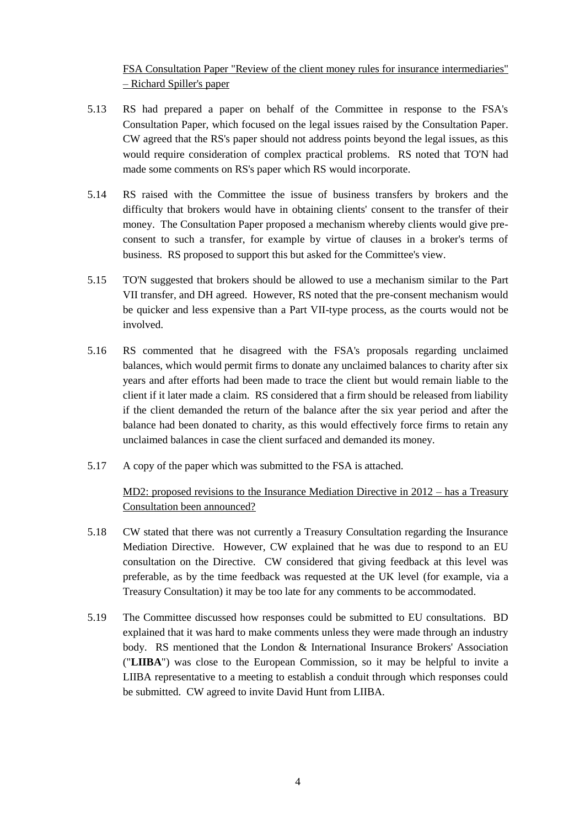FSA Consultation Paper "Review of the client money rules for insurance intermediaries" – Richard Spiller's paper

- 5.13 RS had prepared a paper on behalf of the Committee in response to the FSA's Consultation Paper, which focused on the legal issues raised by the Consultation Paper. CW agreed that the RS's paper should not address points beyond the legal issues, as this would require consideration of complex practical problems. RS noted that TO'N had made some comments on RS's paper which RS would incorporate.
- 5.14 RS raised with the Committee the issue of business transfers by brokers and the difficulty that brokers would have in obtaining clients' consent to the transfer of their money. The Consultation Paper proposed a mechanism whereby clients would give preconsent to such a transfer, for example by virtue of clauses in a broker's terms of business. RS proposed to support this but asked for the Committee's view.
- 5.15 TO'N suggested that brokers should be allowed to use a mechanism similar to the Part VII transfer, and DH agreed. However, RS noted that the pre-consent mechanism would be quicker and less expensive than a Part VII-type process, as the courts would not be involved.
- 5.16 RS commented that he disagreed with the FSA's proposals regarding unclaimed balances, which would permit firms to donate any unclaimed balances to charity after six years and after efforts had been made to trace the client but would remain liable to the client if it later made a claim. RS considered that a firm should be released from liability if the client demanded the return of the balance after the six year period and after the balance had been donated to charity, as this would effectively force firms to retain any unclaimed balances in case the client surfaced and demanded its money.
- 5.17 A copy of the paper which was submitted to the FSA is attached.

# MD2: proposed revisions to the Insurance Mediation Directive in 2012 – has a Treasury Consultation been announced?

- 5.18 CW stated that there was not currently a Treasury Consultation regarding the Insurance Mediation Directive. However, CW explained that he was due to respond to an EU consultation on the Directive. CW considered that giving feedback at this level was preferable, as by the time feedback was requested at the UK level (for example, via a Treasury Consultation) it may be too late for any comments to be accommodated.
- 5.19 The Committee discussed how responses could be submitted to EU consultations. BD explained that it was hard to make comments unless they were made through an industry body. RS mentioned that the London & International Insurance Brokers' Association ("**LIIBA**") was close to the European Commission, so it may be helpful to invite a LIIBA representative to a meeting to establish a conduit through which responses could be submitted. CW agreed to invite David Hunt from LIIBA.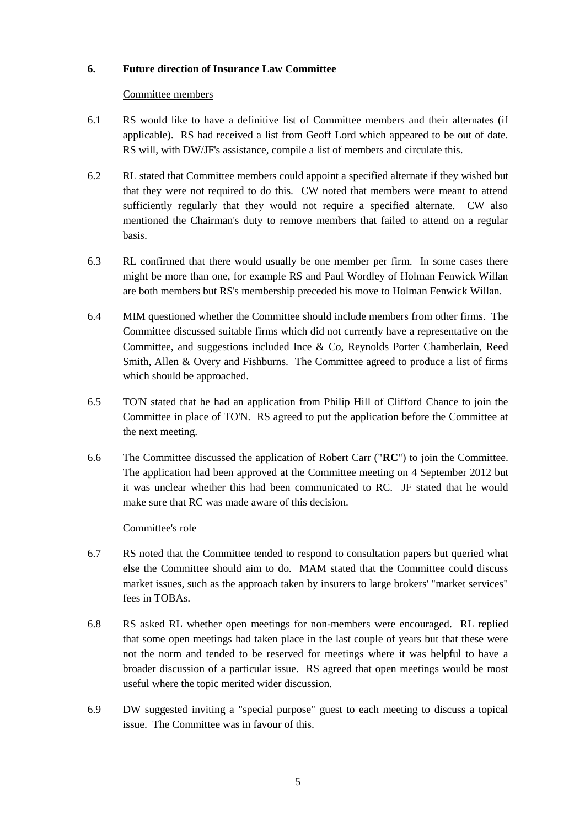## **6. Future direction of Insurance Law Committee**

### Committee members

- 6.1 RS would like to have a definitive list of Committee members and their alternates (if applicable). RS had received a list from Geoff Lord which appeared to be out of date. RS will, with DW/JF's assistance, compile a list of members and circulate this.
- 6.2 RL stated that Committee members could appoint a specified alternate if they wished but that they were not required to do this. CW noted that members were meant to attend sufficiently regularly that they would not require a specified alternate. CW also mentioned the Chairman's duty to remove members that failed to attend on a regular basis.
- 6.3 RL confirmed that there would usually be one member per firm. In some cases there might be more than one, for example RS and Paul Wordley of Holman Fenwick Willan are both members but RS's membership preceded his move to Holman Fenwick Willan.
- 6.4 MIM questioned whether the Committee should include members from other firms. The Committee discussed suitable firms which did not currently have a representative on the Committee, and suggestions included Ince & Co, Reynolds Porter Chamberlain, Reed Smith, Allen & Overy and Fishburns. The Committee agreed to produce a list of firms which should be approached.
- 6.5 TO'N stated that he had an application from Philip Hill of Clifford Chance to join the Committee in place of TO'N. RS agreed to put the application before the Committee at the next meeting.
- 6.6 The Committee discussed the application of Robert Carr ("**RC**") to join the Committee. The application had been approved at the Committee meeting on 4 September 2012 but it was unclear whether this had been communicated to RC. JF stated that he would make sure that RC was made aware of this decision.

## Committee's role

- 6.7 RS noted that the Committee tended to respond to consultation papers but queried what else the Committee should aim to do. MAM stated that the Committee could discuss market issues, such as the approach taken by insurers to large brokers' "market services" fees in TOBAs.
- 6.8 RS asked RL whether open meetings for non-members were encouraged. RL replied that some open meetings had taken place in the last couple of years but that these were not the norm and tended to be reserved for meetings where it was helpful to have a broader discussion of a particular issue. RS agreed that open meetings would be most useful where the topic merited wider discussion.
- 6.9 DW suggested inviting a "special purpose" guest to each meeting to discuss a topical issue. The Committee was in favour of this.